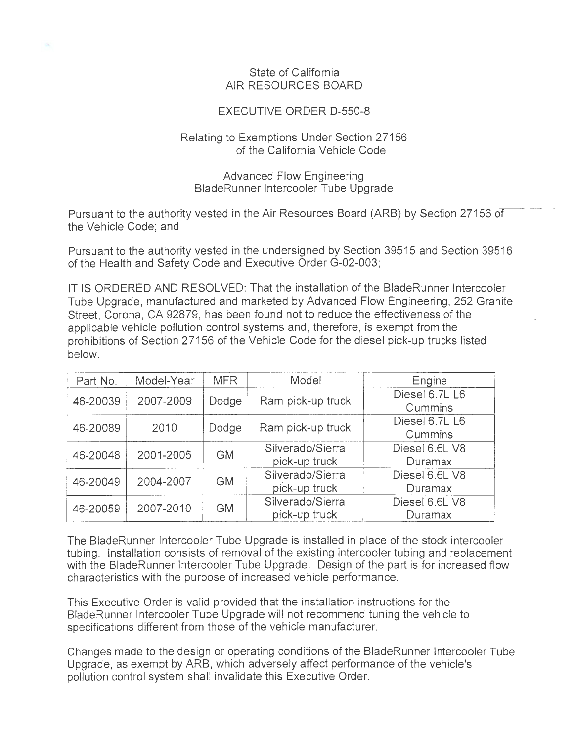## State of California AIR RESOURCES BOARD

## EXECUTIVE ORDER D-550-8

## Relating to Exemptions Under Section 27156 of the California Vehicle Code

## Advanced Flow Engineering BladeRunner Intercooler Tube Upgrade

Pursuant to the authority vested in the Air Resources Board (ARB) by Section 27156 of the Vehicle Code; and

Pursuant to the authority vested in the undersigned by Section 39515 and Section 39516 of the Health and Safety Code and Executive Order G-02-003;

IT IS ORDERED AND RESOLVED: That the installation of the BladeRunner Intercooler Tube Upgrade, manufactured and marketed by Advanced Flow Engineering, 252 Granite Street, Corona, CA 92879, has been found not to reduce the effectiveness of the applicable vehicle pollution control systems and, therefore, is exempt from the prohibitions of Section 27156 of the Vehicle Code for the diesel pick-up trucks listed below.

| Part No. | Model-Year | <b>MFR</b> | Model             | Engine         |
|----------|------------|------------|-------------------|----------------|
| 46-20039 | 2007-2009  | Dodge      | Ram pick-up truck | Diesel 6.7L L6 |
|          |            |            |                   | Cummins        |
| 46-20089 | 2010       | Dodge      | Ram pick-up truck | Diesel 6.7L L6 |
|          |            |            |                   | Cummins        |
| 46-20048 | 2001-2005  | GM.        | Silverado/Sierra  | Diesel 6.6L V8 |
|          |            |            | pick-up truck     | Duramax        |
| 46-20049 | 2004-2007  | <b>GM</b>  | Silverado/Sierra  | Diesel 6.6L V8 |
|          |            |            | pick-up truck     | Duramax        |
| 46-20059 | 2007-2010  | <b>GM</b>  | Silverado/Sierra  | Diesel 6.6L V8 |
|          |            |            | pick-up truck     | Duramax        |

The BladeRunner Intercooler Tube Upgrade is installed in place of the stock intercooler tubing. Installation consists of removal of the existing intercooler tubing and replacement with the BladeRunner Intercooler Tube Upgrade. Design of the part is for increased flow characteristics with the purpose of increased vehicle performance

This Executive Order is valid provided that the installation instructions for the BladeRunner Intercooler Tube Upgrade will not recommend tuning the vehicle to specifications different from those of the vehicle manufacturer.

Changes made to the design or operating conditions of the BladeRunner Intercooler Tube Upgrade, as exempt by ARB, which adversely affect performance of the vehicle's pollution control system shall invalidate this Executive Order.